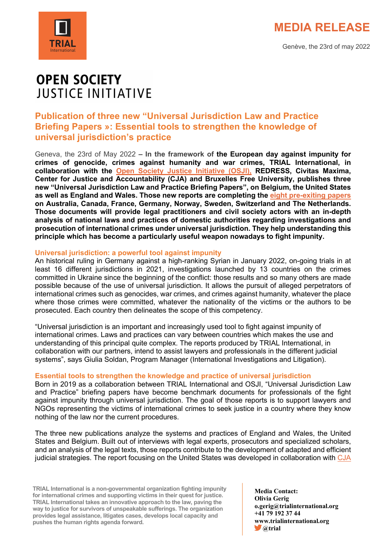



## **OPEN SOCIETY JUSTICE INITIATIVE**

### **Publication of three new "Universal Jurisdiction Law and Practice Briefing Papers »: Essential tools to strengthen the knowledge of universal jurisdiction's practice**

Geneva, the 23rd of May 2022 **– In the framework of the European day against impunity for crimes of genocide, crimes against humanity and war crimes, TRIAL International, in collaboration with the Open Society Justice Initiative (OSJI), REDRESS, Civitas Maxima, Center for Justice and Accountability (CJA) and Bruxelles Free University, publishes three new "Universal Jurisdiction Law and Practice Briefing Papers", on Belgium, the United States as well as England and Wales. Those new reports are completing the eight pre-exiting papers on Australia, Canada, France, Germany, Norway, Sweden, Switzerland and The Netherlands. Those documents will provide legal practitioners and civil society actors with an in-depth analysis of national laws and practices of domestic authorities regarding investigations and prosecution of international crimes under universal jurisdiction. They help understanding this principle which has become a particularly useful weapon nowadays to fight impunity.** 

#### **Universal jurisdiction: a powerful tool against impunity**

An historical ruling in Germany against a high-ranking Syrian in January 2022, on-going trials in at least 16 different jurisdictions in 2021, investigations launched by 13 countries on the crimes committed in Ukraine since the beginning of the conflict: those results and so many others are made possible because of the use of universal jurisdiction. It allows the pursuit of alleged perpetrators of international crimes such as genocides, war crimes, and crimes against humanity, whatever the place where those crimes were committed, whatever the nationality of the victims or the authors to be prosecuted. Each country then delineates the scope of this competency.

"Universal jurisdiction is an important and increasingly used tool to fight against impunity of international crimes. Laws and practices can vary between countries which makes the use and understanding of this principal quite complex. The reports produced by TRIAL International, in collaboration with our partners, intend to assist lawyers and professionals in the different judicial systems", says Giulia Soldan, Program Manager (International Investigations and Litigation).

### **Essential tools to strengthen the knowledge and practice of universal jurisdiction**

Born in 2019 as a collaboration between TRIAL International and OSJI, "Universal Jurisdiction Law and Practice" briefing papers have become benchmark documents for professionals of the fight against impunity through universal jurisdiction. The goal of those reports is to support lawyers and NGOs representing the victims of international crimes to seek justice in a country where they know nothing of the law nor the current procedures.

The three new publications analyze the systems and practices of England and Wales, the United States and Belgium. Built out of interviews with legal experts, prosecutors and specialized scholars, and an analysis of the legal texts, those reports contribute to the development of adapted and efficient judicial strategies. The report focusing on the United States was developed in collaboration with CJA

**TRIAL International is a non-governmental organization fighting impunity for international crimes and supporting victims in their quest for justice. TRIAL International takes an innovative approach to the law, paving the way to justice for survivors of unspeakable sufferings. The organization provides legal assistance, litigates cases, develops local capacity and pushes the human rights agenda forward.**

**Media Contact: Olivia Gerig o.gerig@trialinternational.org +41 79 192 37 44 www.trialinternational.org @trial**